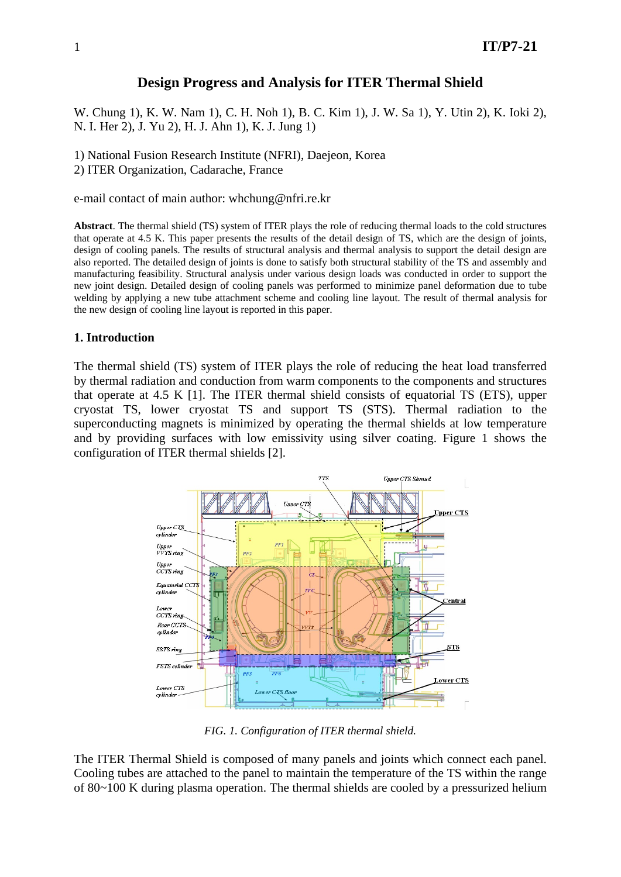## **Design Progress and Analysis for ITER Thermal Shield**

W. Chung 1), K. W. Nam 1), C. H. Noh 1), B. C. Kim 1), J. W. Sa 1), Y. Utin 2), K. Ioki 2), N. I. Her 2), J. Yu 2), H. J. Ahn 1), K. J. Jung 1)

1) National Fusion Research Institute (NFRI), Daejeon, Korea

2) ITER Organization, Cadarache, France

e-mail contact of main author: whchung@nfri.re.kr

**Abstract**. The thermal shield (TS) system of ITER plays the role of reducing thermal loads to the cold structures that operate at 4.5 K. This paper presents the results of the detail design of TS, which are the design of joints, design of cooling panels. The results of structural analysis and thermal analysis to support the detail design are also reported. The detailed design of joints is done to satisfy both structural stability of the TS and assembly and manufacturing feasibility. Structural analysis under various design loads was conducted in order to support the new joint design. Detailed design of cooling panels was performed to minimize panel deformation due to tube welding by applying a new tube attachment scheme and cooling line layout. The result of thermal analysis for the new design of cooling line layout is reported in this paper.

### **1. Introduction**

The thermal shield (TS) system of ITER plays the role of reducing the heat load transferred by thermal radiation and conduction from warm components to the components and structures that operate at 4.5 K [1]. The ITER thermal shield consists of equatorial TS (ETS), upper cryostat TS, lower cryostat TS and support TS (STS). Thermal radiation to the superconducting magnets is minimized by operating the thermal shields at low temperature and by providing surfaces with low emissivity using silver coating. Figure 1 shows the configuration of ITER thermal shields [2].



*FIG. 1. Configuration of ITER thermal shield.* 

The ITER Thermal Shield is composed of many panels and joints which connect each panel. Cooling tubes are attached to the panel to maintain the temperature of the TS within the range of 80~100 K during plasma operation. The thermal shields are cooled by a pressurized helium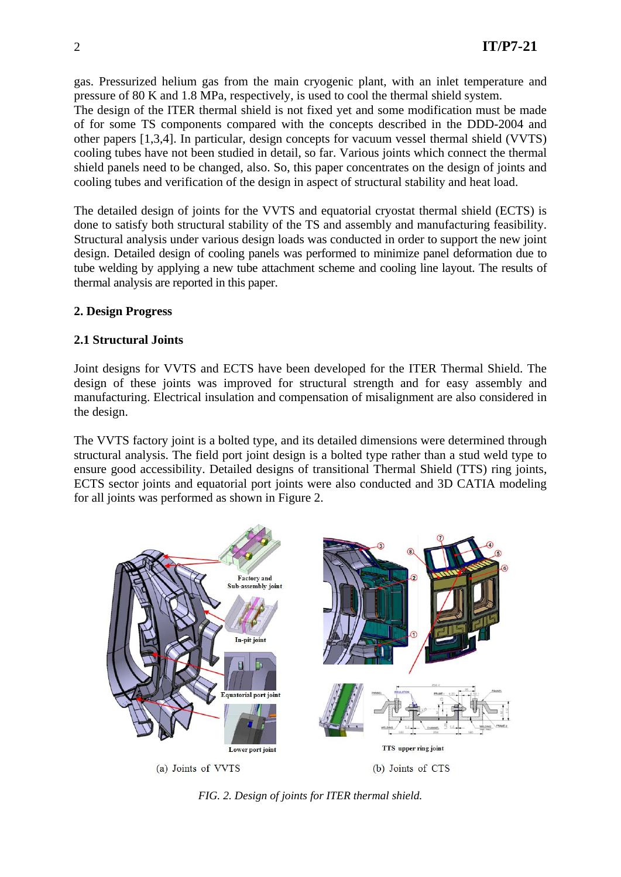gas. Pressurized helium gas from the main cryogenic plant, with an inlet temperature and pressure of 80 K and 1.8 MPa, respectively, is used to cool the thermal shield system. The design of the ITER thermal shield is not fixed yet and some modification must be made of for some TS components compared with the concepts described in the DDD-2004 and other papers [1,3,4]. In particular, design concepts for vacuum vessel thermal shield (VVTS) cooling tubes have not been studied in detail, so far. Various joints which connect the thermal shield panels need to be changed, also. So, this paper concentrates on the design of joints and cooling tubes and verification of the design in aspect of structural stability and heat load.

The detailed design of joints for the VVTS and equatorial cryostat thermal shield (ECTS) is done to satisfy both structural stability of the TS and assembly and manufacturing feasibility. Structural analysis under various design loads was conducted in order to support the new joint design. Detailed design of cooling panels was performed to minimize panel deformation due to tube welding by applying a new tube attachment scheme and cooling line layout. The results of thermal analysis are reported in this paper.

## **2. Design Progress**

## **2.1 Structural Joints**

Joint designs for VVTS and ECTS have been developed for the ITER Thermal Shield. The design of these joints was improved for structural strength and for easy assembly and manufacturing. Electrical insulation and compensation of misalignment are also considered in the design.

The VVTS factory joint is a bolted type, and its detailed dimensions were determined through structural analysis. The field port joint design is a bolted type rather than a stud weld type to ensure good accessibility. Detailed designs of transitional Thermal Shield (TTS) ring joints, ECTS sector joints and equatorial port joints were also conducted and 3D CATIA modeling for all joints was performed as shown in Figure 2.



*FIG. 2. Design of joints for ITER thermal shield.*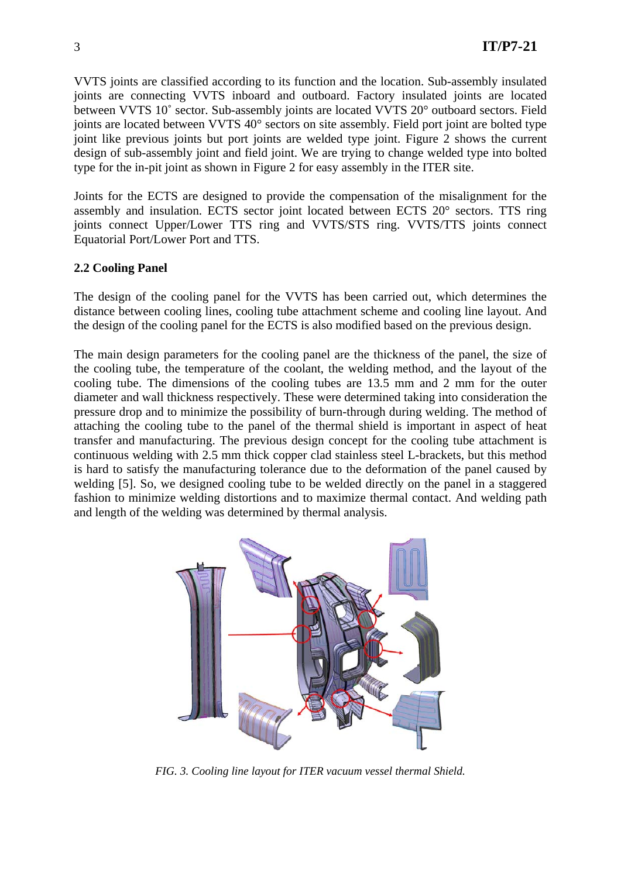VVTS joints are classified according to its function and the location. Sub-assembly insulated joints are connecting VVTS inboard and outboard. Factory insulated joints are located between VVTS 10˚ sector. Sub-assembly joints are located VVTS 20° outboard sectors. Field joints are located between VVTS 40° sectors on site assembly. Field port joint are bolted type joint like previous joints but port joints are welded type joint. Figure 2 shows the current design of sub-assembly joint and field joint. We are trying to change welded type into bolted type for the in-pit joint as shown in Figure 2 for easy assembly in the ITER site.

Joints for the ECTS are designed to provide the compensation of the misalignment for the assembly and insulation. ECTS sector joint located between ECTS 20° sectors. TTS ring joints connect Upper/Lower TTS ring and VVTS/STS ring. VVTS/TTS joints connect Equatorial Port/Lower Port and TTS.

## **2.2 Cooling Panel**

The design of the cooling panel for the VVTS has been carried out, which determines the distance between cooling lines, cooling tube attachment scheme and cooling line layout. And the design of the cooling panel for the ECTS is also modified based on the previous design.

The main design parameters for the cooling panel are the thickness of the panel, the size of the cooling tube, the temperature of the coolant, the welding method, and the layout of the cooling tube. The dimensions of the cooling tubes are 13.5 mm and 2 mm for the outer diameter and wall thickness respectively. These were determined taking into consideration the pressure drop and to minimize the possibility of burn-through during welding. The method of attaching the cooling tube to the panel of the thermal shield is important in aspect of heat transfer and manufacturing. The previous design concept for the cooling tube attachment is continuous welding with 2.5 mm thick copper clad stainless steel L-brackets, but this method is hard to satisfy the manufacturing tolerance due to the deformation of the panel caused by welding [5]. So, we designed cooling tube to be welded directly on the panel in a staggered fashion to minimize welding distortions and to maximize thermal contact. And welding path and length of the welding was determined by thermal analysis.



*FIG. 3. Cooling line layout for ITER vacuum vessel thermal Shield.*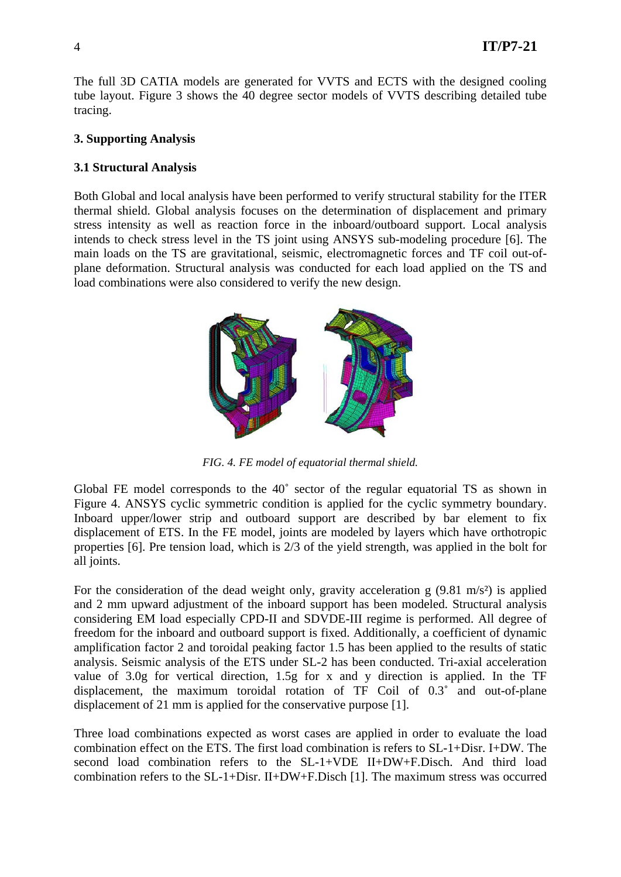The full 3D CATIA models are generated for VVTS and ECTS with the designed cooling tube layout. Figure 3 shows the 40 degree sector models of VVTS describing detailed tube tracing.

## **3. Supporting Analysis**

# **3.1 Structural Analysis**

Both Global and local analysis have been performed to verify structural stability for the ITER thermal shield. Global analysis focuses on the determination of displacement and primary stress intensity as well as reaction force in the inboard/outboard support. Local analysis intends to check stress level in the TS joint using ANSYS sub-modeling procedure [6]. The main loads on the TS are gravitational, seismic, electromagnetic forces and TF coil out-ofplane deformation. Structural analysis was conducted for each load applied on the TS and load combinations were also considered to verify the new design.



*FIG. 4. FE model of equatorial thermal shield.* 

Global FE model corresponds to the 40˚ sector of the regular equatorial TS as shown in Figure 4. ANSYS cyclic symmetric condition is applied for the cyclic symmetry boundary. Inboard upper/lower strip and outboard support are described by bar element to fix displacement of ETS. In the FE model, joints are modeled by layers which have orthotropic properties [6]. Pre tension load, which is 2/3 of the yield strength, was applied in the bolt for all joints.

For the consideration of the dead weight only, gravity acceleration g  $(9.81 \text{ m/s}^2)$  is applied and 2 mm upward adjustment of the inboard support has been modeled. Structural analysis considering EM load especially CPD-II and SDVDE-III regime is performed. All degree of freedom for the inboard and outboard support is fixed. Additionally, a coefficient of dynamic amplification factor 2 and toroidal peaking factor 1.5 has been applied to the results of static analysis. Seismic analysis of the ETS under SL-2 has been conducted. Tri-axial acceleration value of 3.0g for vertical direction, 1.5g for x and y direction is applied. In the TF displacement, the maximum toroidal rotation of TF Coil of 0.3˚ and out-of-plane displacement of 21 mm is applied for the conservative purpose [1].

Three load combinations expected as worst cases are applied in order to evaluate the load combination effect on the ETS. The first load combination is refers to SL-1+Disr. I+DW. The second load combination refers to the SL-1+VDE II+DW+F.Disch. And third load combination refers to the SL-1+Disr. II+DW+F.Disch [1]. The maximum stress was occurred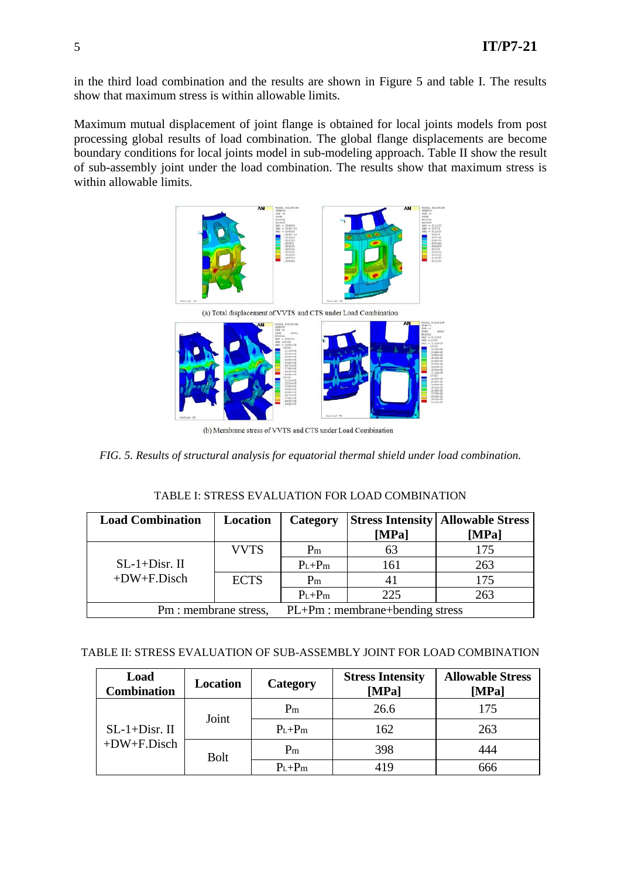in the third load combination and the results are shown in Figure 5 and table I. The results show that maximum stress is within allowable limits.

Maximum mutual displacement of joint flange is obtained for local joints models from post processing global results of load combination. The global flange displacements are become boundary conditions for local joints model in sub-modeling approach. Table II show the result of sub-assembly joint under the load combination. The results show that maximum stress is within allowable limits.



(b) Membrane stress of VVTS and CTS under Load Combination

*FIG. 5. Results of structural analysis for equatorial thermal shield under load combination.* 

### TABLE I: STRESS EVALUATION FOR LOAD COMBINATION

| <b>Load Combination</b> | Location    | Category                         |       | <b>Stress Intensity   Allowable Stress</b> |
|-------------------------|-------------|----------------------------------|-------|--------------------------------------------|
|                         |             |                                  | [MPa] | [MPa]                                      |
|                         | <b>VVTS</b> | $P_{m}$                          | 63    | 175                                        |
| $SL-1+Disr.$ II         |             | $P_L + P_m$                      | 161   | 263                                        |
| $+DW+F.Disch$           | <b>ECTS</b> | P <sub>m</sub>                   | 41    | 175                                        |
|                         |             | $P_L + P_m$                      | 225   | 263                                        |
| Pm : membrane stress,   |             | $PL+Pm:$ membrane+bending stress |       |                                            |

### TABLE II: STRESS EVALUATION OF SUB-ASSEMBLY JOINT FOR LOAD COMBINATION

| Load<br><b>Combination</b>       | Location    | Category       | <b>Stress Intensity</b><br>[MPa] | <b>Allowable Stress</b><br>[MPa] |
|----------------------------------|-------------|----------------|----------------------------------|----------------------------------|
| $SL-1+Disr.$ II<br>$+DW+F.Disch$ | Joint       | P <sub>m</sub> | 26.6                             | 175                              |
|                                  |             | $P_L + P_m$    | 162                              | 263                              |
|                                  | <b>Bolt</b> | P <sub>m</sub> | 398                              | 444                              |
|                                  |             | $P_L + P_m$    | 419                              | 666                              |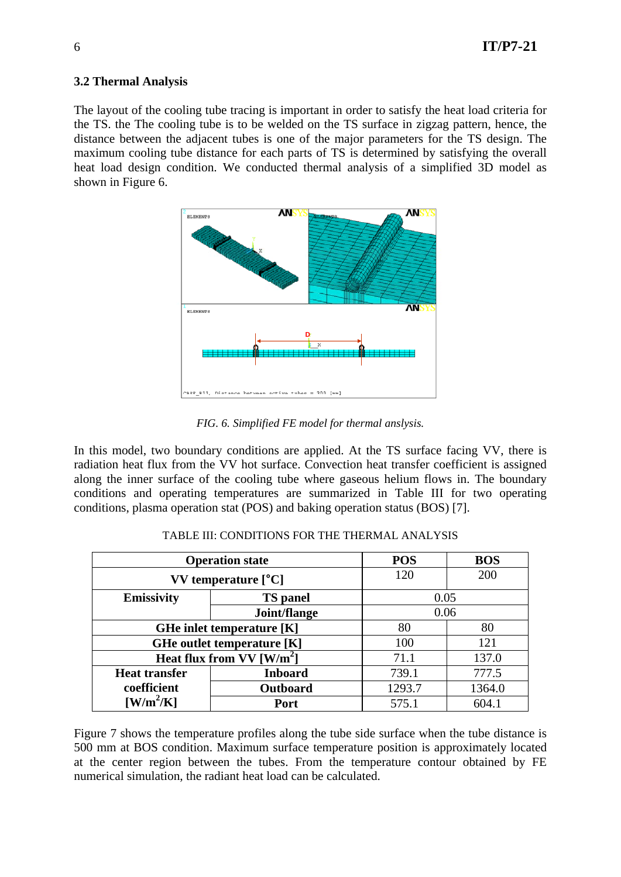## **3.2 Thermal Analysis**

The layout of the cooling tube tracing is important in order to satisfy the heat load criteria for the TS. the The cooling tube is to be welded on the TS surface in zigzag pattern, hence, the distance between the adjacent tubes is one of the major parameters for the TS design. The maximum cooling tube distance for each parts of TS is determined by satisfying the overall heat load design condition. We conducted thermal analysis of a simplified 3D model as shown in Figure 6.



*FIG. 6. Simplified FE model for thermal anslysis.* 

In this model, two boundary conditions are applied. At the TS surface facing VV, there is radiation heat flux from the VV hot surface. Convection heat transfer coefficient is assigned along the inner surface of the cooling tube where gaseous helium flows in. The boundary conditions and operating temperatures are summarized in Table III for two operating conditions, plasma operation stat (POS) and baking operation status (BOS) [7].

| <b>Operation state</b>                  |                                  | <b>POS</b> | <b>BOS</b> |  |
|-----------------------------------------|----------------------------------|------------|------------|--|
|                                         | $VV$ temperature $[^{\circ}C]$   |            | 200        |  |
| Emissivity                              | <b>TS</b> panel                  |            | 0.05       |  |
|                                         | Joint/flange                     | 0.06       |            |  |
|                                         | <b>GHe inlet temperature [K]</b> | 80<br>80   |            |  |
| GHe outlet temperature [K]              |                                  | 100        | 121        |  |
| Heat flux from VV $\lceil W/m^2 \rceil$ |                                  | 71.1       | 137.0      |  |
| <b>Heat transfer</b>                    | <b>Inboard</b>                   | 739.1      | 777.5      |  |
| coefficient                             | Outboard                         | 1293.7     | 1364.0     |  |
| $\left[\text{W/m}^2/\text{K}\right]$    | Port                             | 575.1      | 604.1      |  |

TABLE III: CONDITIONS FOR THE THERMAL ANALYSIS

Figure 7 shows the temperature profiles along the tube side surface when the tube distance is 500 mm at BOS condition. Maximum surface temperature position is approximately located at the center region between the tubes. From the temperature contour obtained by FE numerical simulation, the radiant heat load can be calculated.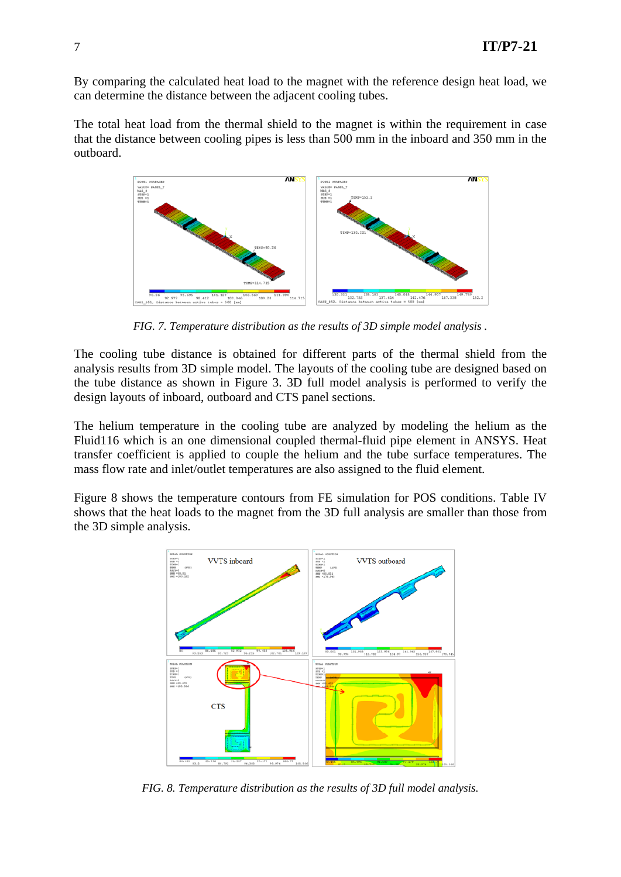By comparing the calculated heat load to the magnet with the reference design heat load, we can determine the distance between the adjacent cooling tubes.

The total heat load from the thermal shield to the magnet is within the requirement in case that the distance between cooling pipes is less than 500 mm in the inboard and 350 mm in the outboard.



*FIG. 7. Temperature distribution as the results of 3D simple model analysis .* 

The cooling tube distance is obtained for different parts of the thermal shield from the analysis results from 3D simple model. The layouts of the cooling tube are designed based on the tube distance as shown in Figure 3. 3D full model analysis is performed to verify the design layouts of inboard, outboard and CTS panel sections.

The helium temperature in the cooling tube are analyzed by modeling the helium as the Fluid116 which is an one dimensional coupled thermal-fluid pipe element in ANSYS. Heat transfer coefficient is applied to couple the helium and the tube surface temperatures. The mass flow rate and inlet/outlet temperatures are also assigned to the fluid element.

Figure 8 shows the temperature contours from FE simulation for POS conditions. Table IV shows that the heat loads to the magnet from the 3D full analysis are smaller than those from the 3D simple analysis.



*FIG. 8. Temperature distribution as the results of 3D full model analysis.*